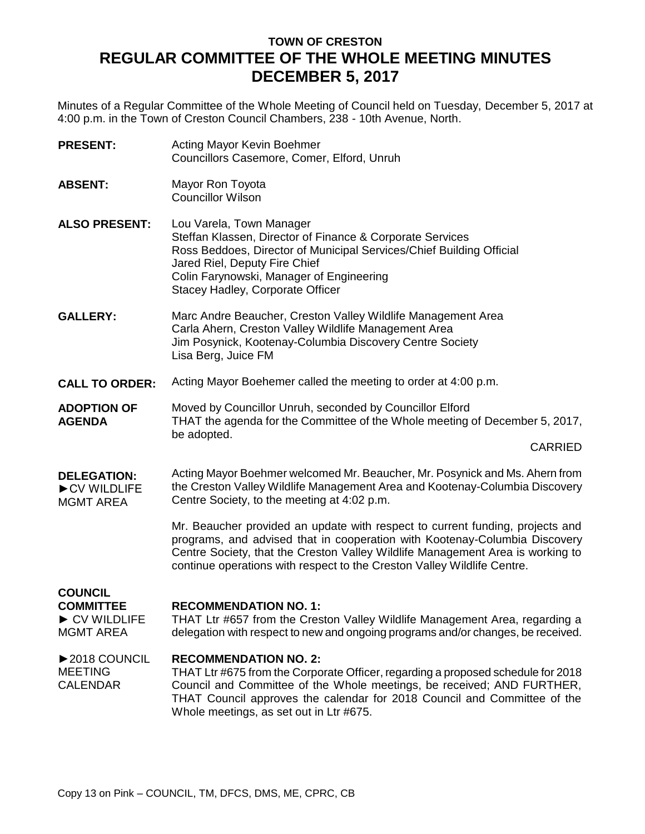# **TOWN OF CRESTON REGULAR COMMITTEE OF THE WHOLE MEETING MINUTES DECEMBER 5, 2017**

Minutes of a Regular Committee of the Whole Meeting of Council held on Tuesday, December 5, 2017 at 4:00 p.m. in the Town of Creston Council Chambers, 238 - 10th Avenue, North.

| <b>PRESENT:</b>                                                                        | Acting Mayor Kevin Boehmer<br>Councillors Casemore, Comer, Elford, Unruh                                                                                                                                                                                                                                                 |
|----------------------------------------------------------------------------------------|--------------------------------------------------------------------------------------------------------------------------------------------------------------------------------------------------------------------------------------------------------------------------------------------------------------------------|
| <b>ABSENT:</b>                                                                         | Mayor Ron Toyota<br><b>Councillor Wilson</b>                                                                                                                                                                                                                                                                             |
| <b>ALSO PRESENT:</b>                                                                   | Lou Varela, Town Manager<br>Steffan Klassen, Director of Finance & Corporate Services<br>Ross Beddoes, Director of Municipal Services/Chief Building Official<br>Jared Riel, Deputy Fire Chief<br>Colin Farynowski, Manager of Engineering<br>Stacey Hadley, Corporate Officer                                           |
| <b>GALLERY:</b>                                                                        | Marc Andre Beaucher, Creston Valley Wildlife Management Area<br>Carla Ahern, Creston Valley Wildlife Management Area<br>Jim Posynick, Kootenay-Columbia Discovery Centre Society<br>Lisa Berg, Juice FM                                                                                                                  |
| <b>CALL TO ORDER:</b>                                                                  | Acting Mayor Boehemer called the meeting to order at 4:00 p.m.                                                                                                                                                                                                                                                           |
| <b>ADOPTION OF</b><br><b>AGENDA</b>                                                    | Moved by Councillor Unruh, seconded by Councillor Elford<br>THAT the agenda for the Committee of the Whole meeting of December 5, 2017,<br>be adopted.                                                                                                                                                                   |
|                                                                                        | <b>CARRIED</b>                                                                                                                                                                                                                                                                                                           |
| <b>DELEGATION:</b><br>CV WILDLIFE<br><b>MGMT AREA</b>                                  | Acting Mayor Boehmer welcomed Mr. Beaucher, Mr. Posynick and Ms. Ahern from<br>the Creston Valley Wildlife Management Area and Kootenay-Columbia Discovery<br>Centre Society, to the meeting at 4:02 p.m.                                                                                                                |
|                                                                                        | Mr. Beaucher provided an update with respect to current funding, projects and<br>programs, and advised that in cooperation with Kootenay-Columbia Discovery<br>Centre Society, that the Creston Valley Wildlife Management Area is working to<br>continue operations with respect to the Creston Valley Wildlife Centre. |
| <b>COUNCIL</b><br><b>COMMITTEE</b><br>$\triangleright$ CV WILDLIFE<br><b>MGMT AREA</b> | <b>RECOMMENDATION NO. 1:</b><br>THAT Ltr #657 from the Creston Valley Wildlife Management Area, regarding a<br>delegation with respect to new and ongoing programs and/or changes, be received.                                                                                                                          |
| ▶ 2018 COUNCIL<br><b>MEETING</b><br><b>CALENDAR</b>                                    | <b>RECOMMENDATION NO. 2:</b><br>THAT Ltr #675 from the Corporate Officer, regarding a proposed schedule for 2018<br>Council and Committee of the Whole meetings, be received; AND FURTHER,<br>THAT Council approves the calendar for 2018 Council and Committee of the<br>Whole meetings, as set out in Ltr #675.        |